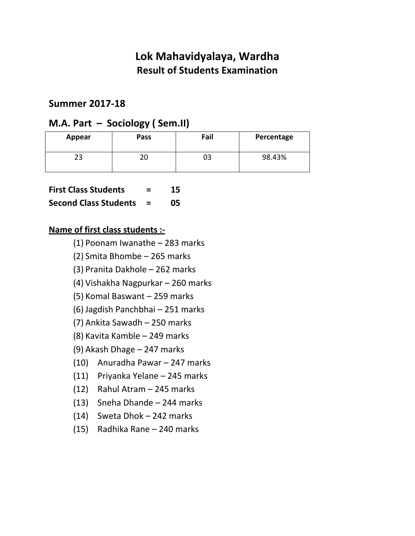#### **Summer 2017-18**

### **M.A. Part – Sociology ( Sem.II)**

| Appear | Pass | Fail | Percentage |
|--------|------|------|------------|
| າາ     | 20   | 03   | 98.43%     |

|  | <b>First Class Students</b> |  |
|--|-----------------------------|--|
|  |                             |  |

#### **Second Class Students = 05**

- (1) Poonam Iwanathe 283 marks
- (2) Smita Bhombe 265 marks
- (3) Pranita Dakhole 262 marks
- (4) Vishakha Nagpurkar 260 marks
- (5) Komal Baswant 259 marks
- (6) Jagdish Panchbhai 251 marks
- (7) Ankita Sawadh 250 marks
- (8) Kavita Kamble 249 marks
- (9) Akash Dhage 247 marks
- (10) Anuradha Pawar 247 marks
- (11) Priyanka Yelane 245 marks
- (12) Rahul Atram 245 marks
- (13) Sneha Dhande 244 marks
- (14) Sweta Dhok 242 marks
- (15) Radhika Rane 240 marks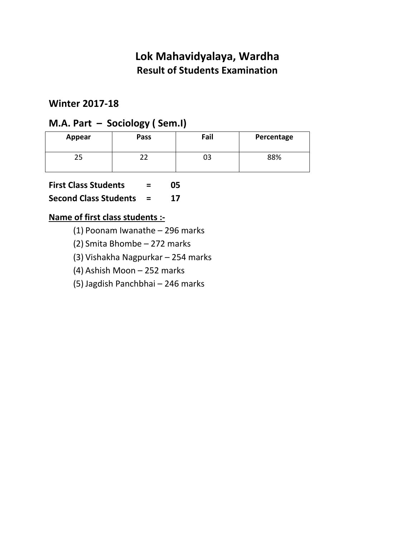## **Winter 2017-18**

## **M.A. Part – Sociology ( Sem.I)**

| Appear | Pass | Fail | Percentage |
|--------|------|------|------------|
|        |      | 03   | 88%        |

**First Class Students = 05** 

**Second Class Students = 17** 

- (1) Poonam Iwanathe 296 marks
- (2) Smita Bhombe 272 marks
- (3) Vishakha Nagpurkar 254 marks
- (4) Ashish Moon 252 marks
- (5) Jagdish Panchbhai 246 marks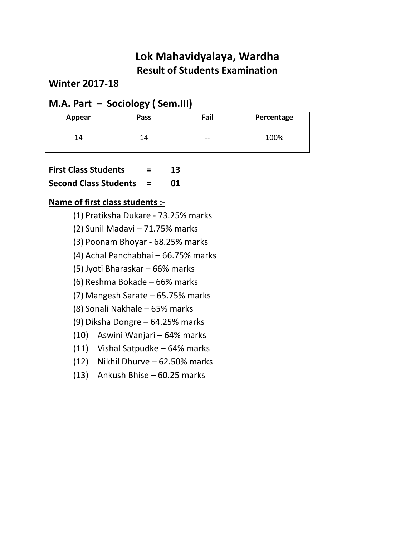**Winter 2017-18** 

## **M.A. Part – Sociology ( Sem.III)**

| Appear | Pass | Fail   | Percentage |
|--------|------|--------|------------|
| ' 4    | L4   | $\sim$ | 100%       |

**First Class Students = 13** 

**Second Class Students = 01** 

- (1) Pratiksha Dukare 73.25% marks
- (2) Sunil Madavi 71.75% marks
- (3) Poonam Bhoyar 68.25% marks
- (4) Achal Panchabhai 66.75% marks
- (5) Jyoti Bharaskar 66% marks
- (6) Reshma Bokade 66% marks
- (7) Mangesh Sarate 65.75% marks
- (8) Sonali Nakhale 65% marks
- (9) Diksha Dongre 64.25% marks
- (10) Aswini Wanjari 64% marks
- (11) Vishal Satpudke 64% marks
- (12) Nikhil Dhurve 62.50% marks
- (13) Ankush Bhise 60.25 marks